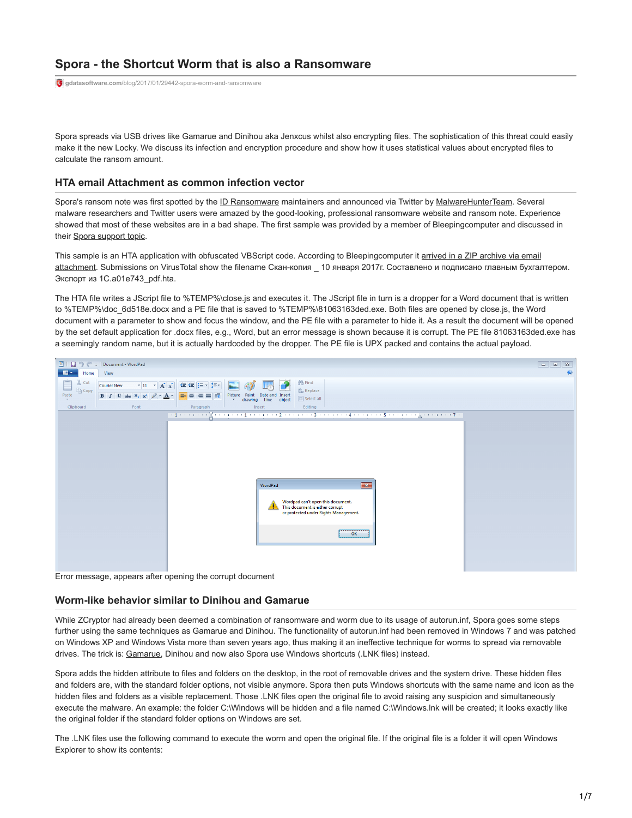# **Spora - the Shortcut Worm that is also a Ransomware**

**gdatasoftware.com**[/blog/2017/01/29442-spora-worm-and-ransomware](https://www.gdatasoftware.com/blog/2017/01/29442-spora-worm-and-ransomware)

Spora spreads via USB drives like Gamarue and Dinihou aka Jenxcus whilst also encrypting files. The sophistication of this threat could easily make it the new Locky. We discuss its infection and encryption procedure and show how it uses statistical values about encrypted files to calculate the ransom amount.

## **HTA email Attachment as common infection vector**

Spora's ransom note was first spotted by the [ID Ransomware](https://id-ransomware.malwarehunterteam.com/) maintainers and announced via Twitter by [MalwareHunterTeam](https://twitter.com/malwrhunterteam/status/818787821980893184). Several malware researchers and Twitter users were amazed by the good-looking, professional ransomware website and ransom note. Experience showed that most of these websites are in a bad shape. The first sample was provided by a member of Bleepingcomputer and discussed in their [Spora support topic](https://www.bleepingcomputer.com/forums/t/636975/spora-ransomware-support-and-help-topic/?p=4157580).

[This sample is an HTA application with obfuscated VBScript code. According to Bleepingcomputer it arrived in a ZIP archive via email](https://www.bleepingcomputer.com/news/security/spora-ransomware-works-offline-has-the-most-sophisticated-payment-site-as-of-yet/) attachment. Submissions on VirusTotal show the filename Скан-копия \_ 10 января 2017г. Составлено и подписано главным бухгалтером. Экспорт из 1С.a01e743\_рdf.hta.

The HTA file writes a JScript file to %TEMP%\close.js and executes it. The JScript file in turn is a dropper for a Word document that is written to %TEMP%\doc\_6d518e.docx and a PE file that is saved to %TEMP%\81063163ded.exe. Both files are opened by close.js, the Word document with a parameter to show and focus the window, and the PE file with a parameter to hide it. As a result the document will be opened by the set default application for .docx files, e.g., Word, but an error message is shown because it is corrupt. The PE file 81063163ded.exe has a seemingly random name, but it is actually hardcoded by the dropper. The PE file is UPX packed and contains the actual payload.



Error message, appears after opening the corrupt document

### **Worm-like behavior similar to Dinihou and Gamarue**

While ZCryptor had already been deemed a combination of ransomware and worm due to its usage of autorun.inf, Spora goes some steps further using the same techniques as Gamarue and Dinihou. The functionality of autorun.inf had been removed in Windows 7 and was patched on Windows XP and Windows Vista more than seven years ago, thus making it an ineffective technique for worms to spread via removable drives. The trick is: [Gamarue](https://www.gdatasoftware.com/blog/2015/03/24274-the-andromeda-gamarue-botnet-is-on-the-rise-again), Dinihou and now also Spora use Windows shortcuts (.LNK files) instead.

Spora adds the hidden attribute to files and folders on the desktop, in the root of removable drives and the system drive. These hidden files and folders are, with the standard folder options, not visible anymore. Spora then puts Windows shortcuts with the same name and icon as the hidden files and folders as a visible replacement. Those .LNK files open the original file to avoid raising any suspicion and simultaneously execute the malware. An example: the folder C:\Windows will be hidden and a file named C:\Windows.Ink will be created; it looks exactly like the original folder if the standard folder options on Windows are set.

The .LNK files use the following command to execute the worm and open the original file. If the original file is a folder it will open Windows Explorer to show its contents: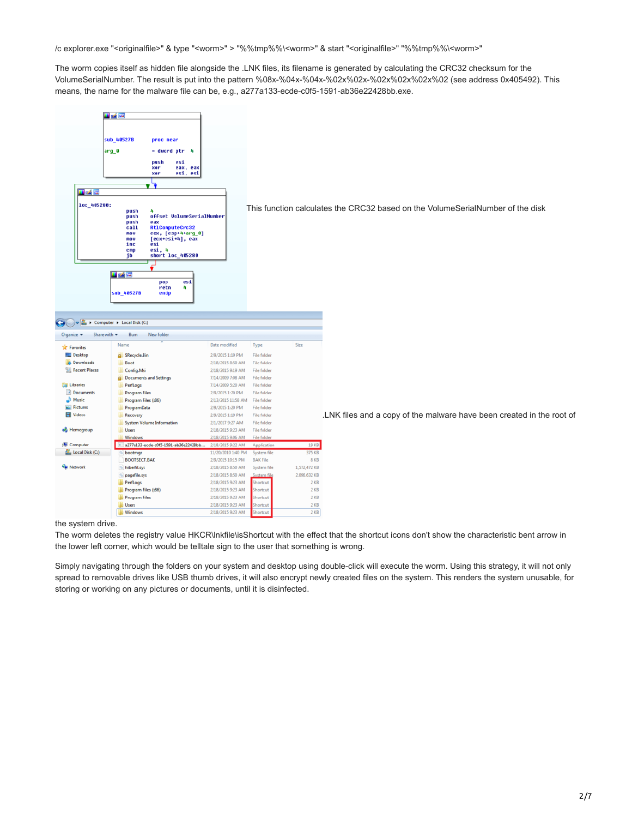/c explorer.exe "<originalfile>" & type "<worm>" > "%%tmp%%\<worm>" & start "<originalfile>" "%%tmp%%\<worm>"

The worm copies itself as hidden file alongside the .LNK files, its filename is generated by calculating the CRC32 checksum for the VolumeSerialNumber. The result is put into the pattern %08x-%04x-%04x-%02x%02x-%02x%02x%02x%02 (see address 0x405492). This means, the name for the malware file can be, e.g., a277a133-ecde-c0f5-1591-ab36e22428bb.exe.



#### the system drive.

The worm deletes the registry value HKCR\lnkfile\isShortcut with the effect that the shortcut icons don't show the characteristic bent arrow in the lower left corner, which would be telltale sign to the user that something is wrong.

Simply navigating through the folders on your system and desktop using double-click will execute the worm. Using this strategy, it will not only spread to removable drives like USB thumb drives, it will also encrypt newly created files on the system. This renders the system unusable, for storing or working on any pictures or documents, until it is disinfected.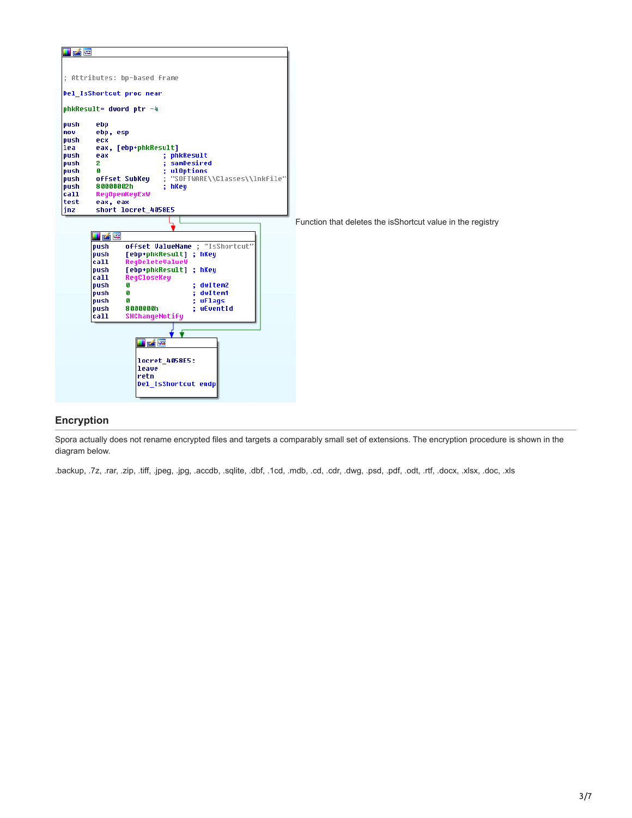

## **Encryption**

Spora actually does not rename encrypted files and targets a comparably small set of extensions. The encryption procedure is shown in the diagram below.

.backup, .7z, .rar, .zip, .tiff, .jpeg, .jpg, .accdb, .sqlite, .dbf, .1cd, .mdb, .cd, .cdr, .dwg, .psd, .pdf, .odt, .rtf, .docx, .xlsx, .doc, .xls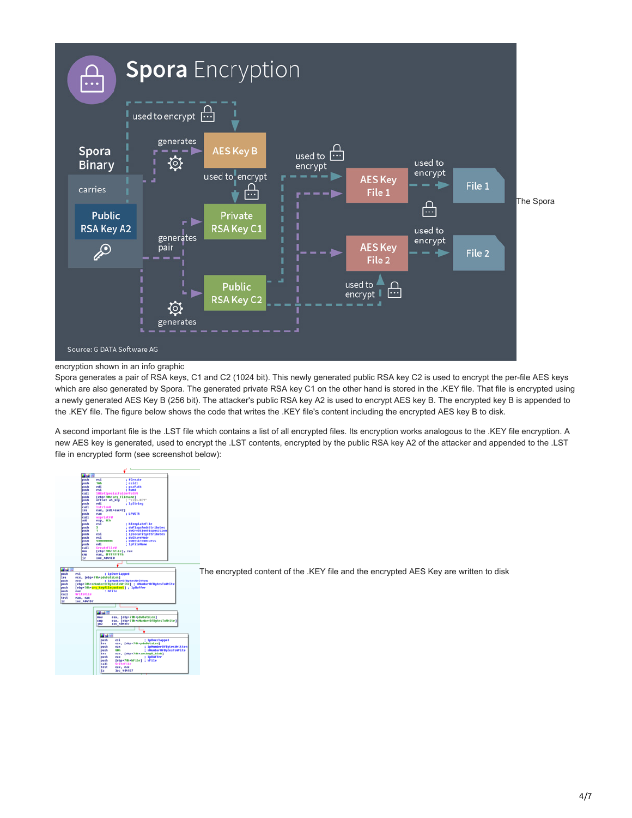

#### encryption shown in an info graphic

Spora generates a pair of RSA keys, C1 and C2 (1024 bit). This newly generated public RSA key C2 is used to encrypt the per-file AES keys which are also generated by Spora. The generated private RSA key C1 on the other hand is stored in the .KEY file. That file is encrypted using a newly generated AES Key B (256 bit). The attacker's public RSA key A2 is used to encrypt AES key B. The encrypted key B is appended to the .KEY file. The figure below shows the code that writes the .KEY file's content including the encrypted AES key B to disk.

A second important file is the .LST file which contains a list of all encrypted files. Its encryption works analogous to the .KEY file encryption. A new AES key is generated, used to encrypt the .LST contents, encrypted by the public RSA key A2 of the attacker and appended to the .LST file in encrypted form (see screenshot below):

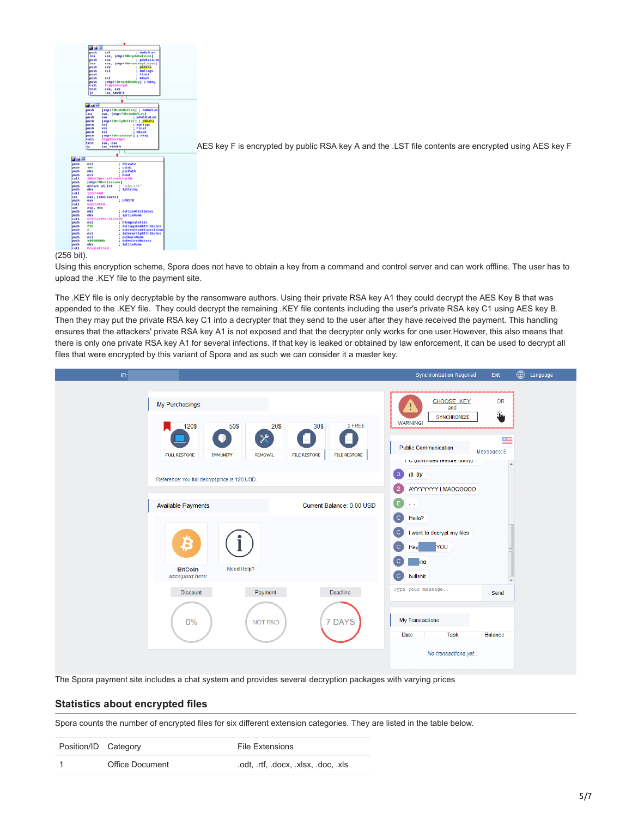

[A](https://www.gdatasoftware.com/fileadmin/web/general/images/blog/2017/01_2017/G_DATA_spora_write_lst_file.png)ES key F is encrypted by public RSA key A and the .LST file contents are encrypted using AES key F

#### (256 bit).

Using this encryption scheme, Spora does not have to obtain a key from a command and control server and can work offline. The user has to upload the .KEY file to the payment site.

The .KEY file is only decryptable by the ransomware authors. Using their private RSA key A1 they could decrypt the AES Key B that was appended to the .KEY file. They could decrypt the remaining .KEY file contents including the user's private RSA key C1 using AES key B. Then they may put the private RSA key C1 into a decrypter that they send to the user after they have received the payment. This handling ensures that the attackers' private RSA key A1 is not exposed and that the decrypter only works for one user.However, this also means that there is only one private RSA key A1 for several infections. If that key is leaked or obtained by law enforcement, it can be used to decrypt all files that were encrypted by this variant of Spora and as such we can consider it a master key.



The Spora payment site includes a chat system and provides several decryption packages with varying prices

## **Statistics about encrypted files**

Spora counts the number of encrypted files for six different extension categories. They are listed in the table below.

| Position/ID Category |                 | <b>File Extensions</b>          |
|----------------------|-----------------|---------------------------------|
|                      | Office Document | odt. rtf, docx, xlsx, doc, xls. |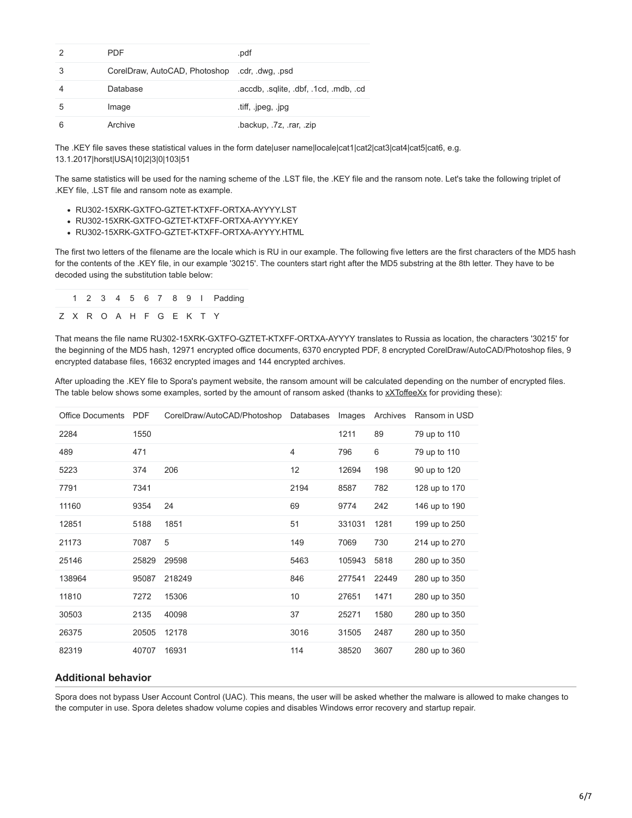|   | PDF                                            | .pdf                              |
|---|------------------------------------------------|-----------------------------------|
| 3 | CorelDraw, AutoCAD, Photoshop .cdr, .dwg, .psd |                                   |
|   | Database                                       | .accdb, sqlite, dbf, 1cd, mdb, cd |
| 5 | Image                                          | tiff, .jpeg, .jpg                 |
|   | Archive                                        | .backup, .7z, .rar, .zip          |

The .KEY file saves these statistical values in the form date|user name|locale|cat1|cat2|cat3|cat4|cat5|cat6, e.g. 13.1.2017|horst|USA|10|2|3|0|103|51

The same statistics will be used for the naming scheme of the .LST file, the .KEY file and the ransom note. Let's take the following triplet of .KEY file, .LST file and ransom note as example.

- RU302-15XRK-GXTFO-GZTET-KTXFF-ORTXA-AYYYY.LST
- RU302-15XRK-GXTFO-GZTET-KTXFF-ORTXA-AYYYY.KEY
- RU302-15XRK-GXTFO-GZTET-KTXFF-ORTXA-AYYYY.HTML

The first two letters of the filename are the locale which is RU in our example. The following five letters are the first characters of the MD5 hash for the contents of the .KEY file, in our example '30215'. The counters start right after the MD5 substring at the 8th letter. They have to be decoded using the substitution table below:

|  |  |  |                         |  | 1 2 3 4 5 6 7 8 9 I Padding |
|--|--|--|-------------------------|--|-----------------------------|
|  |  |  | Z X R O A H F G E K T Y |  |                             |

That means the file name RU302-15XRK-GXTFO-GZTET-KTXFF-ORTXA-AYYYY translates to Russia as location, the characters '30215' for the beginning of the MD5 hash, 12971 encrypted office documents, 6370 encrypted PDF, 8 encrypted CorelDraw/AutoCAD/Photoshop files, 9 encrypted database files, 16632 encrypted images and 144 encrypted archives.

After uploading the .KEY file to Spora's payment website, the ransom amount will be calculated depending on the number of encrypted files. The table below shows some examples, sorted by the amount of ransom asked (thanks to [xXToffeeXx](https://twitter.com/PolarToffee) for providing these):

| <b>Office Documents</b> | <b>PDF</b> | CorelDraw/AutoCAD/Photoshop | Databases | Images | Archives | Ransom in USD |
|-------------------------|------------|-----------------------------|-----------|--------|----------|---------------|
| 2284                    | 1550       |                             |           | 1211   | 89       | 79 up to 110  |
| 489                     | 471        |                             | 4         | 796    | 6        | 79 up to 110  |
| 5223                    | 374        | 206                         | 12        | 12694  | 198      | 90 up to 120  |
| 7791                    | 7341       |                             | 2194      | 8587   | 782      | 128 up to 170 |
| 11160                   | 9354       | 24                          | 69        | 9774   | 242      | 146 up to 190 |
| 12851                   | 5188       | 1851                        | 51        | 331031 | 1281     | 199 up to 250 |
| 21173                   | 7087       | 5                           | 149       | 7069   | 730      | 214 up to 270 |
| 25146                   | 25829      | 29598                       | 5463      | 105943 | 5818     | 280 up to 350 |
| 138964                  | 95087      | 218249                      | 846       | 277541 | 22449    | 280 up to 350 |
| 11810                   | 7272       | 15306                       | 10        | 27651  | 1471     | 280 up to 350 |
| 30503                   | 2135       | 40098                       | 37        | 25271  | 1580     | 280 up to 350 |
| 26375                   | 20505      | 12178                       | 3016      | 31505  | 2487     | 280 up to 350 |
| 82319                   | 40707      | 16931                       | 114       | 38520  | 3607     | 280 up to 360 |

## **Additional behavior**

Spora does not bypass User Account Control (UAC). This means, the user will be asked whether the malware is allowed to make changes to the computer in use. Spora deletes shadow volume copies and disables Windows error recovery and startup repair.